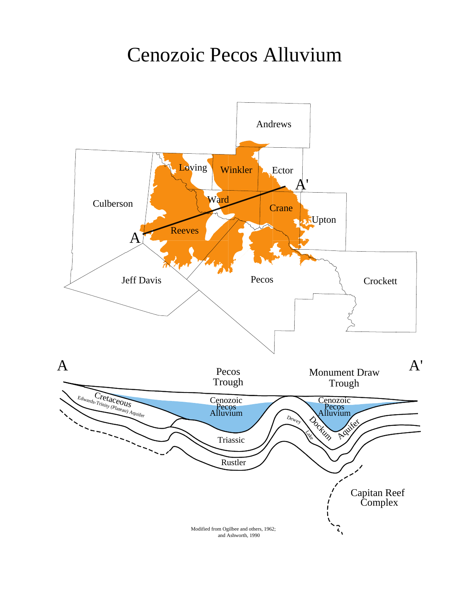## Cenozoic Pecos Alluvium Cenozoic Pecos Alluvium